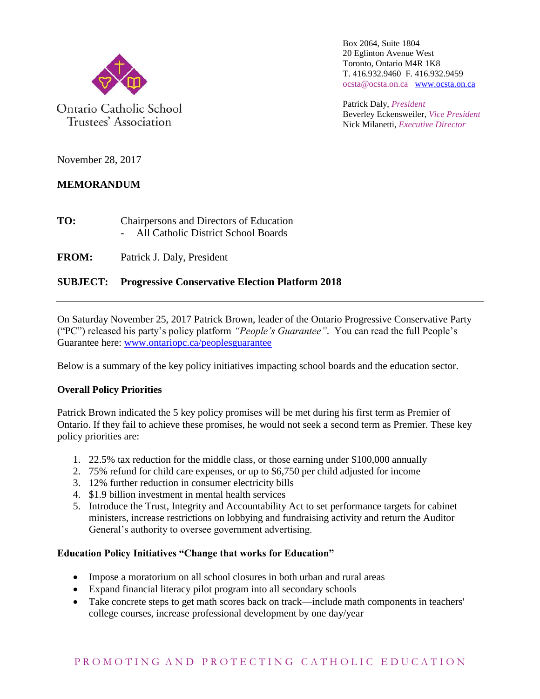

Trustees' Association

Box 2064, Suite 1804 20 Eglinton Avenue West Toronto, Ontario M4R 1K8 T. 416.932.9460 F. 416.932.9459 ocsta@ocsta.on.ca [www.ocsta.on.ca](http://www.ocsta.on.ca/)

Patrick Daly, *President* Beverley Eckensweiler, *Vice President* Nick Milanetti, *Executive Director*

November 28, 2017

# **MEMORANDUM**

| TO: | Chairpersons and Directors of Education |
|-----|-----------------------------------------|
|     | All Catholic District School Boards     |

**FROM:** Patrick J. Daly, President

## **SUBJECT: Progressive Conservative Election Platform 2018**

On Saturday November 25, 2017 Patrick Brown, leader of the Ontario Progressive Conservative Party ("PC") released his party's policy platform *"People's Guarantee"*. You can read the full People's Guarantee here: [www.ontariopc.ca/peoplesguarantee](https://www.ontariopc.ca/peoplesguarantee?e=734739fbf0ea87417b28db978d14f67a&utm_source=ontariopc&utm_medium=email&utm_campaign=gm_pglaunch17&n=1)

Below is a summary of the key policy initiatives impacting school boards and the education sector.

### **Overall Policy Priorities**

Patrick Brown indicated the 5 key policy promises will be met during his first term as Premier of Ontario. If they fail to achieve these promises, he would not seek a second term as Premier. These key policy priorities are:

- 1. 22.5% tax reduction for the middle class, or those earning under \$100,000 annually
- 2. 75% refund for child care expenses, or up to \$6,750 per child adjusted for income
- 3. 12% further reduction in consumer electricity bills
- 4. \$1.9 billion investment in mental health services
- 5. Introduce the Trust, Integrity and Accountability Act to set performance targets for cabinet ministers, increase restrictions on lobbying and fundraising activity and return the Auditor General's authority to oversee government advertising.

### **Education Policy Initiatives "Change that works for Education"**

- Impose a moratorium on all school closures in both urban and rural areas
- Expand financial literacy pilot program into all secondary schools
- Take concrete steps to get math scores back on track—include math components in teachers' college courses, increase professional development by one day/year